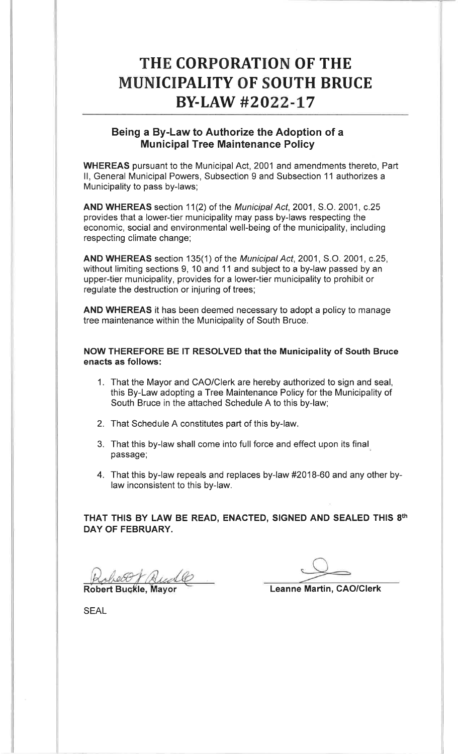# THE CORPORATION OF THE MUNICIPALITY OF SOUTH BRUCEBY-LAW #2022-17

### Being a By-Law to Authorize the Adoption of aMunicipal Tree Maintenance Policy

WHEREAS pursuant to the Municipal Act, 2001 and amendments thereto, Partll, General Municipal Powers, Subsection 9 and Subsection 11 authorizes aMunicipality to pass by-laws;

AND WHEREAS section 11(2) of the Municipal Act,2001, S.O. 2001, c.25provides that a lower-tier municipality may pass by-laws respecting the economic, social and environmental well-being of the municipality, includingrespecting climate change;

AND WHEREAS section 135(1) of the Municipal Act, 2001, S.O. 2001, c.25,without limiting sections 9, 10 and 11 and subject to a by-law passed by an upper-tier municipality, provides for a lower-tier municipality to prohibit orregulate the destruction or injuring of trees;

AND WHEREAS it has been deemed necessary to adopt a policy to manage tree maintenance within the Municipality of South Bruce.

#### NOW THEREFORE BE lT RESOLVED that the Municipality of South Bruceenacts as follows:

- 1. That the Mayor and CAO/Clerk are hereby authorized to sign and seal, this By-Law adopting a Tree Maintenance Policy for the Municipality ofSouth Bruce in the attached Schedule A to this by-law;
- 2. That Schedule A constitutes part of this by-law
- 3. That this by-law shall come into full force and effect upon its finalpassage;
- 4. That this by-law repeals and replaces by-law #2018-60 and any other bylaw inconsistent to this by-law.

THAT THIS BY LAW BE READ, ENACTED, SIGNED AND SEALED THIS 8th DAY OF FEBRUARY.

Robert Buç<mark>kle,</mark>

Leanne Martin, CAO/Clerk

SEAL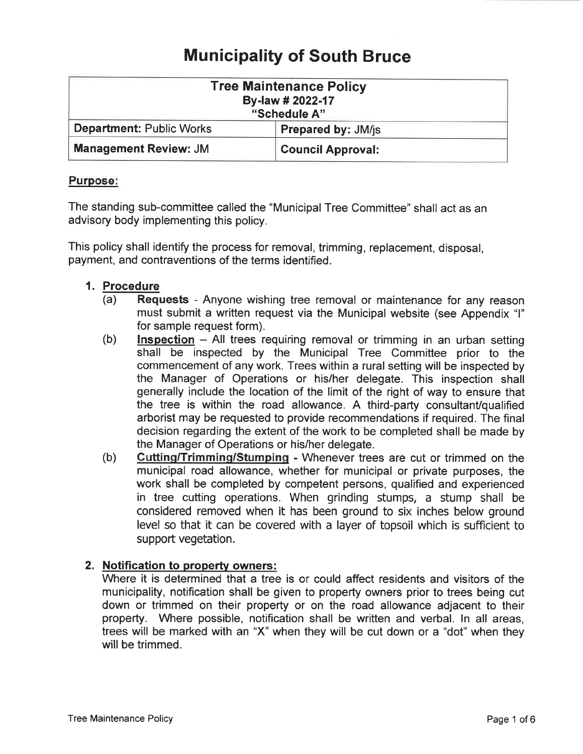## Municipality of South Bruce

| <b>Tree Maintenance Policy</b><br>By-law # 2022-17<br>"Schedule A" |                           |
|--------------------------------------------------------------------|---------------------------|
| Department: Public Works                                           | <b>Prepared by: JM/js</b> |
| <b>Management Review: JM</b>                                       | <b>Council Approval:</b>  |

#### Purpose:

The standing sub-committee called the "Municipal Tree Committee" shall act as anadvisory body implementing this policy.

This policy shall identify the process for removal, trimming, replacement, disposal, payment, and contraventions of the terms identified.

#### 1. Procedure

- (a) Requests Anyone wishing tree removal or maintenance for any reason must submit a written request via the Municipal website (see Appendix "1" for sample request form).
- (b) **Inspection** All trees requiring removal or trimming in an urban setting shall be inspected by the Municipal Tree Committee prior to the commencement of any work. Trees within a rural setting will be inspected by the Manager of Operations or his/her delegate. This inspection shall generally include the location of the limit of the right of way to ensure thatthe tree is within the road allowance. A third-party consultant/qualified arborist may be requested to provide recommendations if required. The final decision regarding the extent of the work to be completed shall be made bythe Manager of Operations or his/her delegate.
- (b) Guttinq/Trimminq/Stumping Whenever trees are cut or trimmed on the municipal road allowance, whether for municipal or private purposes, thework shall be completed by competent persons, qualified and experienced in tree cutting operations. When grinding stumps, a stump shall beconsidered removed when it has been ground to six inches below ground level so that it can be covered with a layer of topsoil which is sufficient tosupport vegetation.

#### 2. Notification to property owners:

 Where it is determined that a tree is or could affect residents and visitors of the municipality, notification shall be given to property owners prior to trees being cut down or trimmed on their property or on the road allowance adjacent to their property. \f/here possible, notification shall be written and verbal. ln all areas, trees will be marked with an "X" when they will be cut down or a "dot" when theywill be trimmed.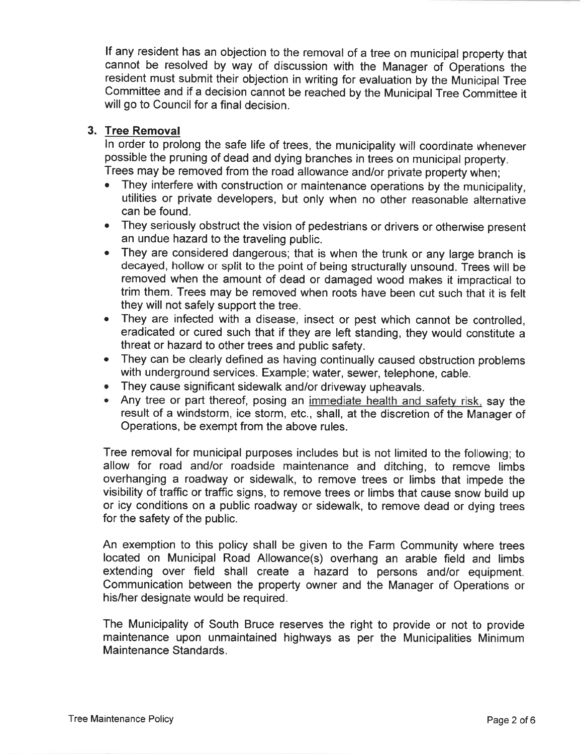lf any resident has an objection to the removal of a tree on municipal property that cannot be resolved by way of discussion with the Manager of Operations the resident must submit their objection in writing for evaluation by the Municipal Tree Committee and if a decision cannot be reached by the Municipal Tree Committee itwill go to Council for a final decision.

#### 3. Tree Removal

ln order to prolong the safe life of trees, the municipality will coordinate wheneverpossible the pruning of dead and dying branches in trees on municipal property. Trees may be removed from the road allowance and/or private property when;

- $\bullet$  They interfere with construction or maintenance operations by the municipality utilities or private developers, but only when no other reasonable alternativecan be found.
- They seriously obstruct the vision of pedestrians or drivers or otherwise present an undue hazard to the traveling public.
- . They are considered dangerous; that is when the trunk or any large branch is decayed, hollow or split to the point of being structurally unsound. Trees will be removed when the amount of dead or damaged wood makes it impractical to trim them. Trees may be removed when roots have been cut such that it is feltthey will not safely support the tree.
- They are infected with a disease, insect or pest which cannot be controlled, eradicated or cured such that if they are left standing, they would constitute athreat or hazard to other trees and public safety.
- They can be clearly defined as having continually caused obstruction problems with underground services. Example; water, sewer, telephone, cable.
- . They cause significant sidewalk and/or driveway upheavals.
- **Any tree or part thereof, posing an immediate health and safety risk, say the**  result of a windstorm, ice storm, etc., shall, at the discretion of the Manager ofOperations, be exempt from the above rules.

Tree removal for municipal purposes includes but is not limited to the following; to allow for road and/or roadside maintenance and ditching, to remove limbs overhanging a roadway or sidewalk, to remove trees or limbs that impede the visibility of traffic or traffic signs, to remove trees or limbs that cause snow build upor icy conditions on a public roadway or sidewalk, to remove dead or dying trees for the safety of the public.

An exemption to this policy shall be given to the Farm Community where trees located on Municipal Road Allowance(s) overhang an arable field and limbsextending over field shall create a hazard to persons and/or equipment Communication between the property owner and the Manager of Operations orhis/her designate would be required.

The Municipality of South Bruce reserves the right to provide or not to provide maintenance upon unmaintained highways as per the Municipalities MinimumMaintenance Standards.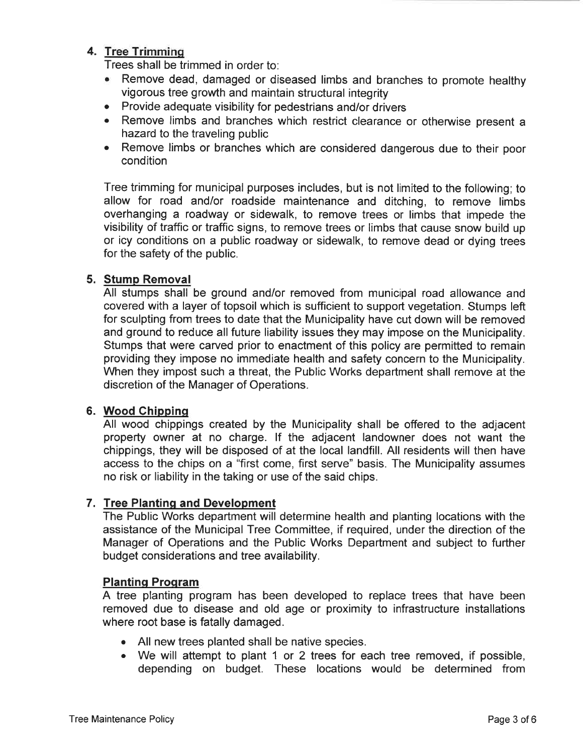#### 4. Tree Trimminq

Trees shall be trimmed in order to:

- **Remove dead, damaged or diseased limbs and branches to promote healthy** vigorous tree growth and maintain structural integrity
- Provide adequate visibility for pedestrians and/or drivers
- Remove limbs and branches which restrict clearance or otherwise present a hazard to the traveling public
- . Remove limbs or branches which are considered dangerous due to their poorcondition

Tree trimming for municipal purposes includes, but is not limited to the following; to allow for road and/or roadside maintenance and ditching, to remove limbs overhanging a roadway or sidewalk, to remove trees or limbs that impede the visibility of traffic or traffic signs, to remove trees or limbs that cause snow build upor icy conditions on a public roadway or sidewalk, to remove dead or dying trees for the safety of the public.

#### 5. Stumo Removal

 All stumps shall be ground and/or removed from municipal road allowance and covered with a layer of topsoil which is sufficient to support vegetation. Stumps left for sculpting from trees to date that the Municipality have cut down will be removed and ground to reduce all future liability issues they may impose on the Municipality. Stumps that were carved prior to enactment of this policy are permitted to remain providing they impose no immediate health and safety concern to the Municipality. When they impost such a threat, the Public Works department shall remove at thediscretion of the Manager of Operations.

#### 6. Wood Chipping

 All wood chippings created by the Municipality shall be offered to the adjacent property owner at no charge. lf the adjacent landowner does not want the chippings, they will be disposed of at the local landfill. All residents will then have access to the chips on a "first come, first serve" basis. The Municipality assumesno risk or liability in the taking or use of the said chips.

#### 7. Tree Plantinq and Develooment

 The Public Works department will determine health and planting locations with the assistance of the Municipal Tree Committee, if required, under the direction of the Manager of Operations and the Public Works Department and subject to furtherbudget considerations and tree availability.

#### Plantinq Proqram

 A tree planting program has been developed to replace trees that have been removed due to disease and old age or proximity to infrastructure installationswhere root base is fatally damaged.

- . All new trees planted shall be native species.
- . We will attempt to plant 1 or 2 trees for each tree removed, if possible, depending on budget. These locations would be determined from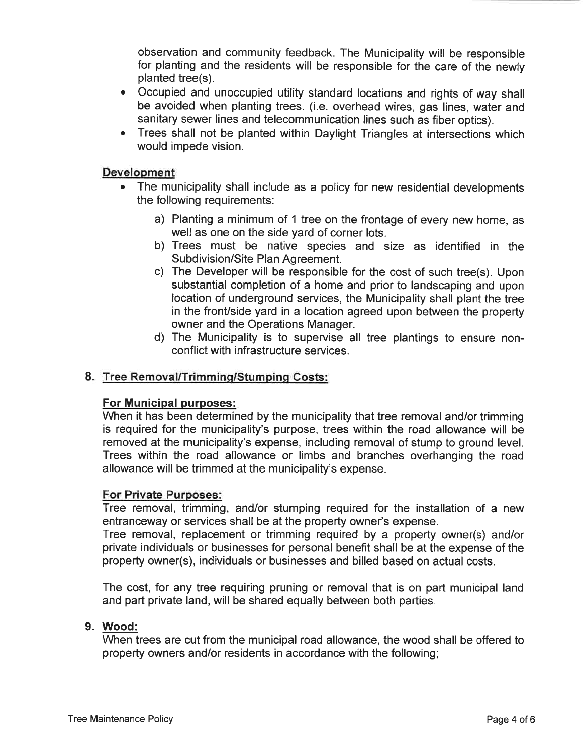observation and community feedback. The Municipality will be responsible for planting and the residents will be responsible for the care of the newlyplanted tree(s).

- Occupied and unoccupied utility standard locations and rights of way shall be avoided when planting trees. (i.e. overhead wires, gas lines, water andsanitary sewer lines and telecommunication lines such as fiber optics).a
- Trees shall not be planted within Daylight Triangles at intersections whichwould impede vision.o

#### Development

- The municipality shall include as a policy for new residential developments the following requirements:
	- a) Planting a minimum of 1 tree on the frontage of every new home, aswell as one on the side yard of corner lots.
	- b) Trees must be native species and size as identified in theSubdivision/Site Plan Agreement.
	- c) The Developer will be responsible for the cost of such tree(s). Upor substantial completion of a home and prior to landscaping and upon location of underground services, the Municipality shall plant the treein the front/side yard in a location agreed upon between the property owner and the Operations Manager.
	- d) The Municipality is to supervise all tree plantings to ensure nonconflict with infrastructure services.

#### 8. Tree Removal/Trimming/Stumping Costs:

#### For Municipal purposes:

 When it has been determined by the municipality that tree removal and/or trimming is required for the municipality's purpose, trees within the road allowance will be removed at the municipality's expense, including removal of stump to ground level. Trees within the road allowance or limbs and branches overhanging the roadallowance will be trimmed at the municipality's expense.

#### For Private Purposes:

 Tree removal, trimming, and/or stumping required for the installation of a newentranceway or services shall be at the property owner's expense.

 Tree removal, replacement or trimming required by a property owner(s) and/or private individuals or businesses for personal benefit shall be at the expense of theproperty owner(s), individuals or businesses and billed based on actual costs.

The cost, for any tree requiring pruning or removal that is on part municipal landand part private land, will be shared equally between both parties.

#### 9. Wood:

 When trees are cut from the municipal road allowance, the wood shall be offered toproperty owners and/or residents in accordance with the following;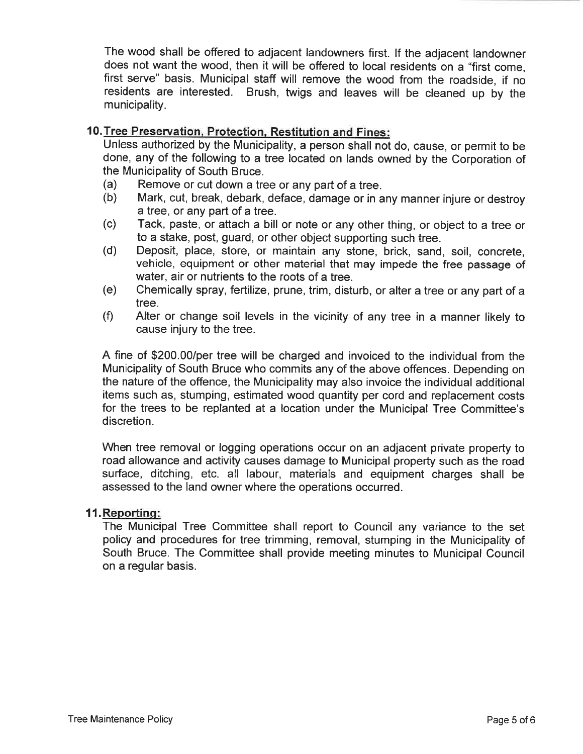The wood shall be offered to adjacent landowners first. lf the adjacent landowner does not want the wood, then it will be offered to local residents on a "first come, first serve" basis. Municipal staff will remove the wood from the roadside, if no residents are interested. Brush, twigs and leaves will be cleaned up by themunicipality.

#### 10.Tree Preservation. Protection. Restitution and Fines:

 Unless authorized by the Municipality, a person shall not do, cause, or permit to be done, any of the following to a tree located on lands owned by the Corporation ofthe Municipality of South Bruce.

- (a) Remove or cut down a tree or any part of a tree.
- (b) Mark, cut, break, debark, deface, damage or in any manner injure or destroya tree, or any part of a tree.
- (c) Tack, paste, or attach a bill or note or any other thing, or object to a tree orto a stake, post, guard, or other object supporting such tree.
- (d) Deposit, place, store, or maintain any stone, brick, sand, soil, concrete, vehicle, equipment or other material that may impede the free passage ofwater, air or nutrients to the roots of a tree.
- (e) Chemically spray, fertilize, prune, trim, disturb, or alter a tree or any part of atree.
- $(f)$  Alter or change soil levels in the vicinity of any tree in a manner likely to cause injury to the tree.

A fine of \$200.00/per tree will be charged and invoiced to the individual from the Municipality of South Bruce who commits any of the above offences. Depending on the nature of the offence, the Municipality may also invoice the individual additional items such as, stumping, estimated wood quantity per cord and replacement costs for the trees to be replanted at a location under the Municipal Tree Committee'sdiscretion.

When tree removal or logging operations occur on an adjacent private property to road allowance and activity causes damage to Municipal property such as the road surface, ditching, etc. all labour, materials and equipment charges shall beassessed to the land owner where the operations occurred.

#### 11. Reportinq:

 The Municipal Tree Committee shall report to Council any variance to the set policy and procedures for tree trimming, removal, stumping in the Municipality of South Bruce. The Committee shall provide meeting minutes to Municipal Councilon a regular basis.